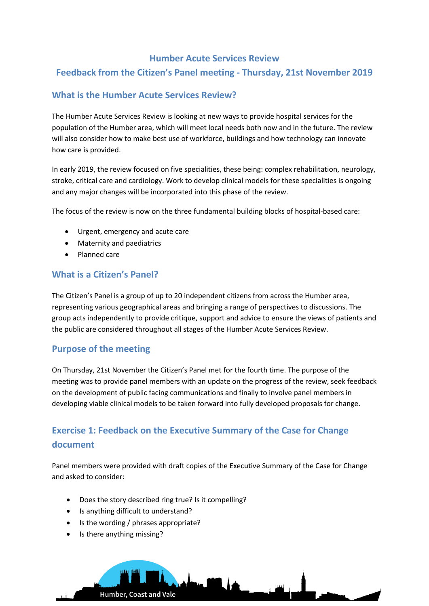## **Humber Acute Services Review**

## **Feedback from the Citizen's Panel meeting - Thursday, 21st November 2019**

## **What is the Humber Acute Services Review?**

The Humber Acute Services Review is looking at new ways to provide hospital services for the population of the Humber area, which will meet local needs both now and in the future. The review will also consider how to make best use of workforce, buildings and how technology can innovate how care is provided.

In early 2019, the review focused on five specialities, these being: complex rehabilitation, neurology, stroke, critical care and cardiology. Work to develop clinical models for these specialities is ongoing and any major changes will be incorporated into this phase of the review.

The focus of the review is now on the three fundamental building blocks of hospital-based care:

- Urgent, emergency and acute care
- Maternity and paediatrics
- Planned care

## **What is a Citizen's Panel?**

The Citizen's Panel is a group of up to 20 independent citizens from across the Humber area, representing various geographical areas and bringing a range of perspectives to discussions. The group acts independently to provide critique, support and advice to ensure the views of patients and the public are considered throughout all stages of the Humber Acute Services Review.

### **Purpose of the meeting**

On Thursday, 21st November the Citizen's Panel met for the fourth time. The purpose of the meeting was to provide panel members with an update on the progress of the review, seek feedback on the development of public facing communications and finally to involve panel members in developing viable clinical models to be taken forward into fully developed proposals for change.

## **Exercise 1: Feedback on the Executive Summary of the Case for Change document**

Panel members were provided with draft copies of the Executive Summary of the Case for Change and asked to consider:

- Does the story described ring true? Is it compelling?
- Is anything difficult to understand?
- Is the wording / phrases appropriate?

Humber, Coast and Vale

Is there anything missing?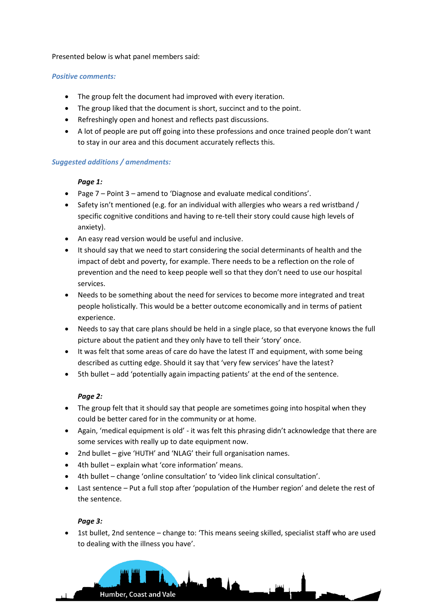Presented below is what panel members said:

#### *Positive comments:*

- The group felt the document had improved with every iteration.
- The group liked that the document is short, succinct and to the point.
- Refreshingly open and honest and reflects past discussions.
- A lot of people are put off going into these professions and once trained people don't want to stay in our area and this document accurately reflects this.

#### *Suggested additions / amendments:*

#### *Page 1:*

- Page 7 Point 3 amend to 'Diagnose and evaluate medical conditions'.
- Safety isn't mentioned (e.g. for an individual with allergies who wears a red wristband / specific cognitive conditions and having to re-tell their story could cause high levels of anxiety).
- An easy read version would be useful and inclusive.
- It should say that we need to start considering the social determinants of health and the impact of debt and poverty, for example. There needs to be a reflection on the role of prevention and the need to keep people well so that they don't need to use our hospital services.
- Needs to be something about the need for services to become more integrated and treat people holistically. This would be a better outcome economically and in terms of patient experience.
- Needs to say that care plans should be held in a single place, so that everyone knows the full picture about the patient and they only have to tell their 'story' once.
- It was felt that some areas of care do have the latest IT and equipment, with some being described as cutting edge. Should it say that 'very few services' have the latest?
- 5th bullet add 'potentially again impacting patients' at the end of the sentence.

#### *Page 2:*

- The group felt that it should say that people are sometimes going into hospital when they could be better cared for in the community or at home.
- Again, 'medical equipment is old' it was felt this phrasing didn't acknowledge that there are some services with really up to date equipment now.
- 2nd bullet give 'HUTH' and 'NLAG' their full organisation names.
- 4th bullet explain what 'core information' means.
- 4th bullet change 'online consultation' to 'video link clinical consultation'.
- Last sentence Put a full stop after 'population of the Humber region' and delete the rest of the sentence.

#### *Page 3:*

• 1st bullet, 2nd sentence – change to: 'This means seeing skilled, specialist staff who are used to dealing with the illness you have'.

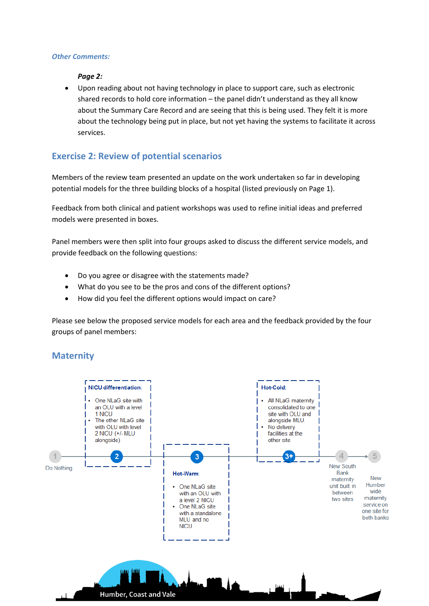#### *Other Comments:*

#### *Page 2:*

 Upon reading about not having technology in place to support care, such as electronic shared records to hold core information – the panel didn't understand as they all know about the Summary Care Record and are seeing that this is being used. They felt it is more about the technology being put in place, but not yet having the systems to facilitate it across services.

## **Exercise 2: Review of potential scenarios**

Members of the review team presented an update on the work undertaken so far in developing potential models for the three building blocks of a hospital (listed previously on Page 1).

Feedback from both clinical and patient workshops was used to refine initial ideas and preferred models were presented in boxes.

Panel members were then split into four groups asked to discuss the different service models, and provide feedback on the following questions:

- Do you agree or disagree with the statements made?
- What do you see to be the pros and cons of the different options?
- How did you feel the different options would impact on care?

Please see below the proposed service models for each area and the feedback provided by the four groups of panel members:

## **Maternity**

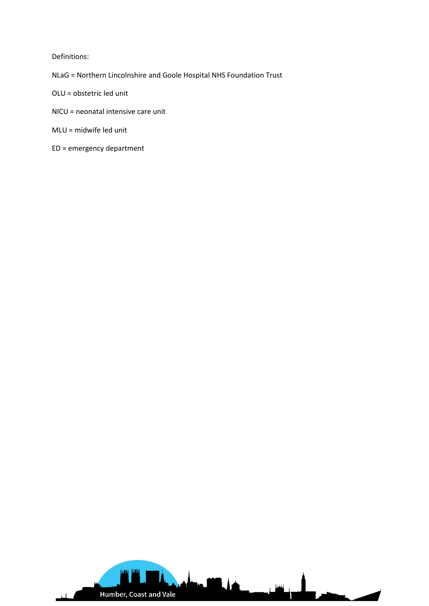Definitions:

- NLaG = Northern Lincolnshire and Goole Hospital NHS Foundation Trust
- OLU = obstetric led unit
- NICU = neonatal intensive care unit
- MLU = midwife led unit
- ED = emergency department

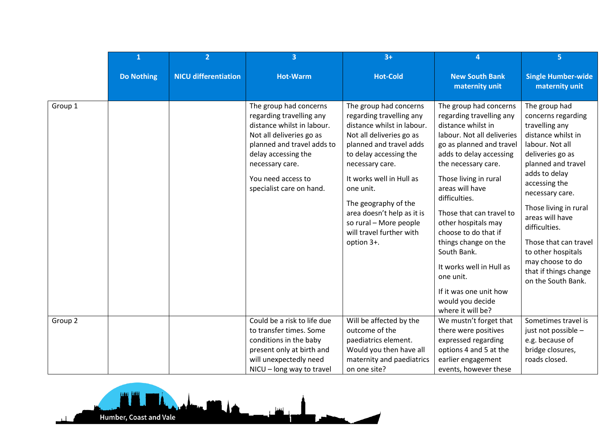|         | 1                 | $\overline{2}$              | $\overline{3}$                                                                                                                                                                                                                         | $3+$                                                                                                                                                                                                                                                                                                                                                    | $\overline{a}$                                                                                                                                                                                                                                                                                                                                                                                                                                                                  | 5 <sup>1</sup>                                                                                                                                                                                                                                                                                                                                                               |
|---------|-------------------|-----------------------------|----------------------------------------------------------------------------------------------------------------------------------------------------------------------------------------------------------------------------------------|---------------------------------------------------------------------------------------------------------------------------------------------------------------------------------------------------------------------------------------------------------------------------------------------------------------------------------------------------------|---------------------------------------------------------------------------------------------------------------------------------------------------------------------------------------------------------------------------------------------------------------------------------------------------------------------------------------------------------------------------------------------------------------------------------------------------------------------------------|------------------------------------------------------------------------------------------------------------------------------------------------------------------------------------------------------------------------------------------------------------------------------------------------------------------------------------------------------------------------------|
|         | <b>Do Nothing</b> | <b>NICU differentiation</b> | <b>Hot-Warm</b>                                                                                                                                                                                                                        | <b>Hot-Cold</b>                                                                                                                                                                                                                                                                                                                                         | <b>New South Bank</b><br>maternity unit                                                                                                                                                                                                                                                                                                                                                                                                                                         | <b>Single Humber-wide</b><br>maternity unit                                                                                                                                                                                                                                                                                                                                  |
| Group 1 |                   |                             | The group had concerns<br>regarding travelling any<br>distance whilst in labour.<br>Not all deliveries go as<br>planned and travel adds to<br>delay accessing the<br>necessary care.<br>You need access to<br>specialist care on hand. | The group had concerns<br>regarding travelling any<br>distance whilst in labour.<br>Not all deliveries go as<br>planned and travel adds<br>to delay accessing the<br>necessary care.<br>It works well in Hull as<br>one unit.<br>The geography of the<br>area doesn't help as it is<br>so rural - More people<br>will travel further with<br>option 3+. | The group had concerns<br>regarding travelling any<br>distance whilst in<br>labour. Not all deliveries<br>go as planned and travel<br>adds to delay accessing<br>the necessary care.<br>Those living in rural<br>areas will have<br>difficulties.<br>Those that can travel to<br>other hospitals may<br>choose to do that if<br>things change on the<br>South Bank.<br>It works well in Hull as<br>one unit.<br>If it was one unit how<br>would you decide<br>where it will be? | The group had<br>concerns regarding<br>travelling any<br>distance whilst in<br>labour. Not all<br>deliveries go as<br>planned and travel<br>adds to delay<br>accessing the<br>necessary care.<br>Those living in rural<br>areas will have<br>difficulties.<br>Those that can travel<br>to other hospitals<br>may choose to do<br>that if things change<br>on the South Bank. |
| Group 2 |                   |                             | Could be a risk to life due<br>to transfer times. Some                                                                                                                                                                                 | Will be affected by the<br>outcome of the                                                                                                                                                                                                                                                                                                               | We mustn't forget that<br>there were positives                                                                                                                                                                                                                                                                                                                                                                                                                                  | Sometimes travel is<br>just not possible -                                                                                                                                                                                                                                                                                                                                   |
|         |                   |                             | conditions in the baby                                                                                                                                                                                                                 | paediatrics element.                                                                                                                                                                                                                                                                                                                                    | expressed regarding                                                                                                                                                                                                                                                                                                                                                                                                                                                             | e.g. because of                                                                                                                                                                                                                                                                                                                                                              |
|         |                   |                             | present only at birth and                                                                                                                                                                                                              | Would you then have all                                                                                                                                                                                                                                                                                                                                 | options 4 and 5 at the                                                                                                                                                                                                                                                                                                                                                                                                                                                          | bridge closures,                                                                                                                                                                                                                                                                                                                                                             |
|         |                   |                             | will unexpectedly need                                                                                                                                                                                                                 | maternity and paediatrics                                                                                                                                                                                                                                                                                                                               | earlier engagement                                                                                                                                                                                                                                                                                                                                                                                                                                                              | roads closed.                                                                                                                                                                                                                                                                                                                                                                |
|         |                   |                             | NICU - long way to travel                                                                                                                                                                                                              | on one site?                                                                                                                                                                                                                                                                                                                                            | events, however these                                                                                                                                                                                                                                                                                                                                                                                                                                                           |                                                                                                                                                                                                                                                                                                                                                                              |

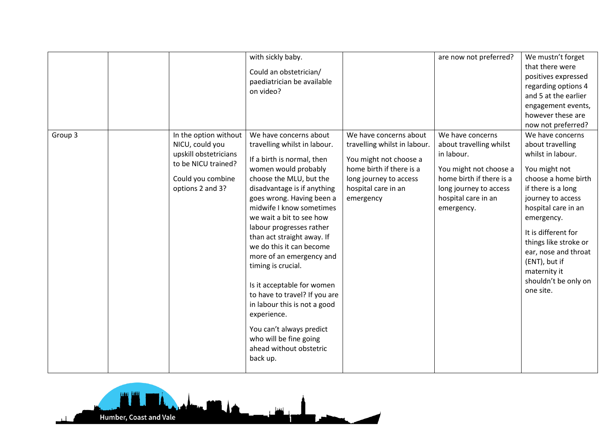|         |                                                                                                                                   | with sickly baby.<br>Could an obstetrician/<br>paediatrician be available<br>on video?                                                                                                                                                                                                                                                                                                                                                                                                                                                                                                                         |                                                                                                                                                                            | are now not preferred?                                                                                                                                                         | We mustn't forget<br>that there were<br>positives expressed<br>regarding options 4<br>and 5 at the earlier                                                                                                                                                                                                                      |
|---------|-----------------------------------------------------------------------------------------------------------------------------------|----------------------------------------------------------------------------------------------------------------------------------------------------------------------------------------------------------------------------------------------------------------------------------------------------------------------------------------------------------------------------------------------------------------------------------------------------------------------------------------------------------------------------------------------------------------------------------------------------------------|----------------------------------------------------------------------------------------------------------------------------------------------------------------------------|--------------------------------------------------------------------------------------------------------------------------------------------------------------------------------|---------------------------------------------------------------------------------------------------------------------------------------------------------------------------------------------------------------------------------------------------------------------------------------------------------------------------------|
|         |                                                                                                                                   |                                                                                                                                                                                                                                                                                                                                                                                                                                                                                                                                                                                                                |                                                                                                                                                                            |                                                                                                                                                                                | engagement events,<br>however these are                                                                                                                                                                                                                                                                                         |
|         |                                                                                                                                   |                                                                                                                                                                                                                                                                                                                                                                                                                                                                                                                                                                                                                |                                                                                                                                                                            |                                                                                                                                                                                | now not preferred?                                                                                                                                                                                                                                                                                                              |
| Group 3 | In the option without<br>NICU, could you<br>upskill obstetricians<br>to be NICU trained?<br>Could you combine<br>options 2 and 3? | We have concerns about<br>travelling whilst in labour.<br>If a birth is normal, then<br>women would probably<br>choose the MLU, but the<br>disadvantage is if anything<br>goes wrong. Having been a<br>midwife I know sometimes<br>we wait a bit to see how<br>labour progresses rather<br>than act straight away. If<br>we do this it can become<br>more of an emergency and<br>timing is crucial.<br>Is it acceptable for women<br>to have to travel? If you are<br>in labour this is not a good<br>experience.<br>You can't always predict<br>who will be fine going<br>ahead without obstetric<br>back up. | We have concerns about<br>travelling whilst in labour.<br>You might not choose a<br>home birth if there is a<br>long journey to access<br>hospital care in an<br>emergency | We have concerns<br>about travelling whilst<br>in labour.<br>You might not choose a<br>home birth if there is a<br>long journey to access<br>hospital care in an<br>emergency. | We have concerns<br>about travelling<br>whilst in labour.<br>You might not<br>choose a home birth<br>if there is a long<br>journey to access<br>hospital care in an<br>emergency.<br>It is different for<br>things like stroke or<br>ear, nose and throat<br>(ENT), but if<br>maternity it<br>shouldn't be only on<br>one site. |
|         |                                                                                                                                   |                                                                                                                                                                                                                                                                                                                                                                                                                                                                                                                                                                                                                |                                                                                                                                                                            |                                                                                                                                                                                |                                                                                                                                                                                                                                                                                                                                 |

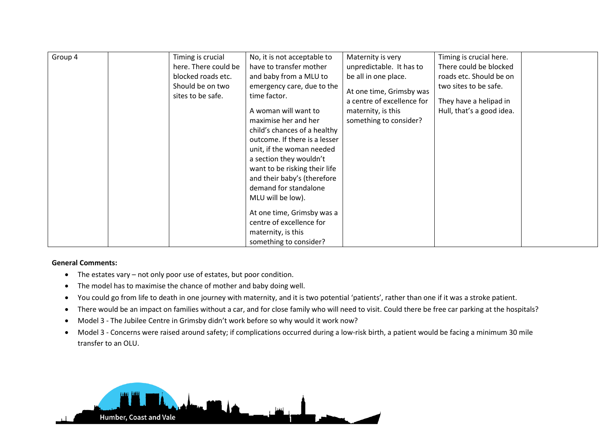| Group 4 | Timing is crucial    | No, it is not acceptable to   | Maternity is very          | Timing is crucial here.   |  |
|---------|----------------------|-------------------------------|----------------------------|---------------------------|--|
|         | here. There could be | have to transfer mother       | unpredictable. It has to   | There could be blocked    |  |
|         | blocked roads etc.   | and baby from a MLU to        | be all in one place.       | roads etc. Should be on   |  |
|         | Should be on two     | emergency care, due to the    | At one time, Grimsby was   | two sites to be safe.     |  |
|         | sites to be safe.    | time factor.                  |                            |                           |  |
|         |                      |                               | a centre of excellence for | They have a helipad in    |  |
|         |                      | A woman will want to          | maternity, is this         | Hull, that's a good idea. |  |
|         |                      | maximise her and her          | something to consider?     |                           |  |
|         |                      | child's chances of a healthy  |                            |                           |  |
|         |                      | outcome. If there is a lesser |                            |                           |  |
|         |                      | unit, if the woman needed     |                            |                           |  |
|         |                      | a section they wouldn't       |                            |                           |  |
|         |                      | want to be risking their life |                            |                           |  |
|         |                      | and their baby's (therefore   |                            |                           |  |
|         |                      | demand for standalone         |                            |                           |  |
|         |                      | MLU will be low).             |                            |                           |  |
|         |                      |                               |                            |                           |  |
|         |                      | At one time, Grimsby was a    |                            |                           |  |
|         |                      | centre of excellence for      |                            |                           |  |
|         |                      | maternity, is this            |                            |                           |  |
|         |                      | something to consider?        |                            |                           |  |

#### **General Comments:**

- The estates vary not only poor use of estates, but poor condition.
- The model has to maximise the chance of mother and baby doing well.
- You could go from life to death in one journey with maternity, and it is two potential 'patients', rather than one if it was a stroke patient.
- There would be an impact on families without a car, and for close family who will need to visit. Could there be free car parking at the hospitals?
- Model 3 The Jubilee Centre in Grimsby didn't work before so why would it work now?
- Model 3 Concerns were raised around safety; if complications occurred during a low-risk birth, a patient would be facing a minimum 30 mile transfer to an OLU.

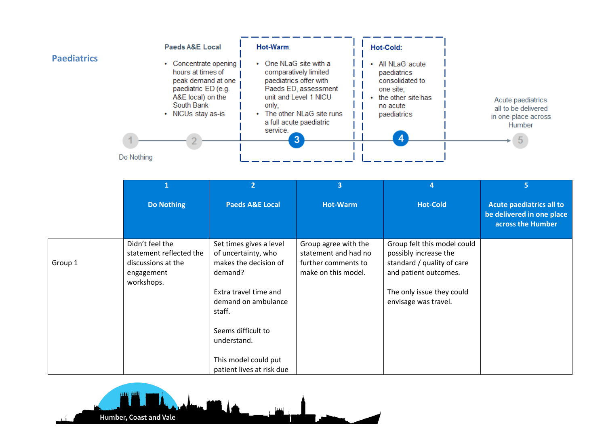|                    | <b>Paeds A&amp;E Local</b>                                                                                                                         | Hot-Warm:                                                                                                                                                                                          | Hot-Cold:                                                                                                      |                                                                           |
|--------------------|----------------------------------------------------------------------------------------------------------------------------------------------------|----------------------------------------------------------------------------------------------------------------------------------------------------------------------------------------------------|----------------------------------------------------------------------------------------------------------------|---------------------------------------------------------------------------|
| <b>Paediatrics</b> | • Concentrate opening  <br>hours at times of<br>peak demand at one<br>paediatric ED (e.g.<br>A&E local) on the<br>South Bank<br>• NICUs stay as-is | One NLaG site with a<br>٠<br>comparatively limited<br>paediatrics offer with<br>Paeds ED, assessment<br>unit and Level 1 NICU<br>only:<br>The other NLaG site runs<br>۰<br>a full acute paediatric | All NLaG acute<br>paediatrics<br>consolidated to<br>one site:<br>the other site has<br>no acute<br>paediatrics | Acute paediatrics<br>all to be delivered<br>in one place across<br>Humber |
|                    |                                                                                                                                                    | service.<br>3                                                                                                                                                                                      |                                                                                                                | 5 <sup>7</sup>                                                            |
|                    | Do Nothing                                                                                                                                         |                                                                                                                                                                                                    |                                                                                                                |                                                                           |

|         |                                                                                              | $\overline{2}$                                                                                                                                                                                            | $\overline{3}$                                                                             | $\overline{a}$                                                                                                                                                   | 5                                                                          |
|---------|----------------------------------------------------------------------------------------------|-----------------------------------------------------------------------------------------------------------------------------------------------------------------------------------------------------------|--------------------------------------------------------------------------------------------|------------------------------------------------------------------------------------------------------------------------------------------------------------------|----------------------------------------------------------------------------|
|         | <b>Do Nothing</b>                                                                            | <b>Paeds A&amp;E Local</b>                                                                                                                                                                                | <b>Hot-Warm</b>                                                                            | <b>Hot-Cold</b>                                                                                                                                                  | Acute paediatrics all to<br>be delivered in one place<br>across the Humber |
| Group 1 | Didn't feel the<br>statement reflected the<br>discussions at the<br>engagement<br>workshops. | Set times gives a level<br>of uncertainty, who<br>makes the decision of<br>demand?<br>Extra travel time and<br>demand on ambulance<br>staff.<br>Seems difficult to<br>understand.<br>This model could put | Group agree with the<br>statement and had no<br>further comments to<br>make on this model. | Group felt this model could<br>possibly increase the<br>standard / quality of care<br>and patient outcomes.<br>The only issue they could<br>envisage was travel. |                                                                            |
|         |                                                                                              | patient lives at risk due                                                                                                                                                                                 |                                                                                            |                                                                                                                                                                  |                                                                            |

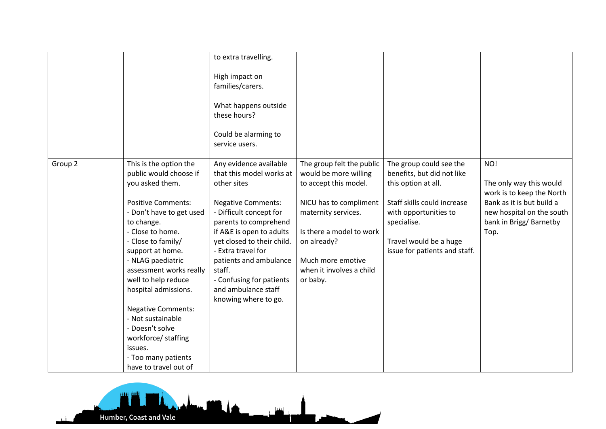|                    |                           | to extra travelling.       |                           |                               |                           |
|--------------------|---------------------------|----------------------------|---------------------------|-------------------------------|---------------------------|
|                    |                           |                            |                           |                               |                           |
|                    |                           | High impact on             |                           |                               |                           |
|                    |                           | families/carers.           |                           |                               |                           |
|                    |                           |                            |                           |                               |                           |
|                    |                           | What happens outside       |                           |                               |                           |
|                    |                           | these hours?               |                           |                               |                           |
|                    |                           |                            |                           |                               |                           |
|                    |                           | Could be alarming to       |                           |                               |                           |
|                    |                           | service users.             |                           |                               |                           |
|                    |                           |                            |                           |                               |                           |
| Group <sub>2</sub> | This is the option the    | Any evidence available     | The group felt the public | The group could see the       | NO!                       |
|                    | public would choose if    | that this model works at   | would be more willing     | benefits, but did not like    |                           |
|                    | you asked them.           | other sites                | to accept this model.     | this option at all.           | The only way this would   |
|                    |                           |                            |                           |                               | work is to keep the North |
|                    | <b>Positive Comments:</b> | <b>Negative Comments:</b>  | NICU has to compliment    | Staff skills could increase   | Bank as it is but build a |
|                    | - Don't have to get used  | - Difficult concept for    | maternity services.       | with opportunities to         | new hospital on the south |
|                    | to change.                | parents to comprehend      |                           | specialise.                   | bank in Brigg/ Barnetby   |
|                    | - Close to home.          | if A&E is open to adults   | Is there a model to work  |                               | Top.                      |
|                    | - Close to family/        | yet closed to their child. | on already?               | Travel would be a huge        |                           |
|                    | support at home.          | - Extra travel for         |                           | issue for patients and staff. |                           |
|                    | - NLAG paediatric         | patients and ambulance     | Much more emotive         |                               |                           |
|                    | assessment works really   | staff.                     | when it involves a child  |                               |                           |
|                    | well to help reduce       | - Confusing for patients   | or baby.                  |                               |                           |
|                    | hospital admissions.      | and ambulance staff        |                           |                               |                           |
|                    |                           | knowing where to go.       |                           |                               |                           |
|                    | <b>Negative Comments:</b> |                            |                           |                               |                           |
|                    | - Not sustainable         |                            |                           |                               |                           |
|                    | - Doesn't solve           |                            |                           |                               |                           |
|                    | workforce/ staffing       |                            |                           |                               |                           |
|                    | issues.                   |                            |                           |                               |                           |
|                    | - Too many patients       |                            |                           |                               |                           |
|                    | have to travel out of     |                            |                           |                               |                           |

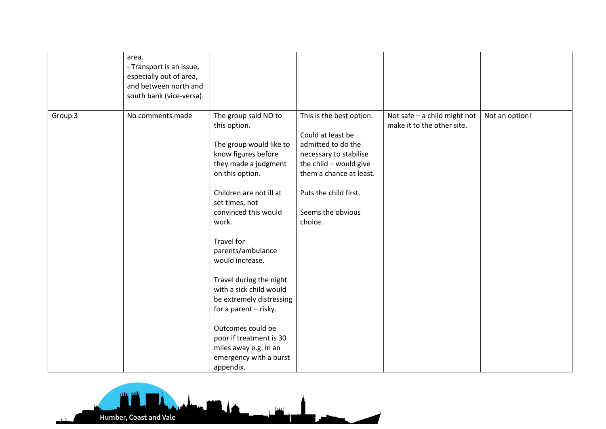|         | area.<br>- Transport is an issue,<br>especially out of area,<br>and between north and<br>south bank (vice-versa). |                                                                                                                                                                                                                                                                                                                                                                                                                                                                                                         |                                                                                                                                                                                                             |                                                            |                |
|---------|-------------------------------------------------------------------------------------------------------------------|---------------------------------------------------------------------------------------------------------------------------------------------------------------------------------------------------------------------------------------------------------------------------------------------------------------------------------------------------------------------------------------------------------------------------------------------------------------------------------------------------------|-------------------------------------------------------------------------------------------------------------------------------------------------------------------------------------------------------------|------------------------------------------------------------|----------------|
| Group 3 | No comments made                                                                                                  | The group said NO to<br>this option.<br>The group would like to<br>know figures before<br>they made a judgment<br>on this option.<br>Children are not ill at<br>set times, not<br>convinced this would<br>work.<br><b>Travel for</b><br>parents/ambulance<br>would increase.<br>Travel during the night<br>with a sick child would<br>be extremely distressing<br>for a parent - risky.<br>Outcomes could be<br>poor if treatment is 30<br>miles away e.g. in an<br>emergency with a burst<br>appendix. | This is the best option.<br>Could at least be<br>admitted to do the<br>necessary to stabilise<br>the child - would give<br>them a chance at least.<br>Puts the child first.<br>Seems the obvious<br>choice. | Not safe - a child might not<br>make it to the other site. | Not an option! |

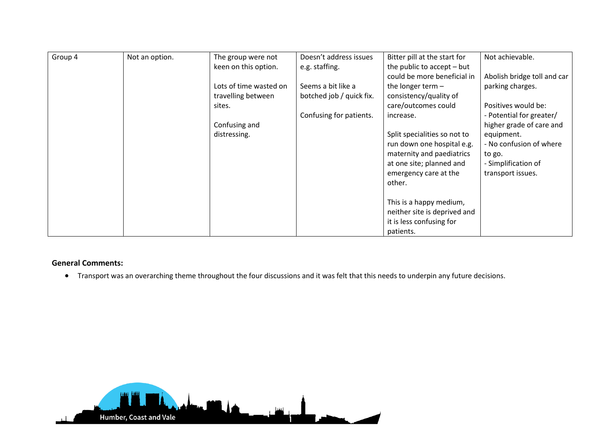| Group 4 | Not an option. | The group were not     | Doesn't address issues   | Bitter pill at the start for | Not achievable.             |
|---------|----------------|------------------------|--------------------------|------------------------------|-----------------------------|
|         |                | keen on this option.   | e.g. staffing.           | the public to accept $-$ but |                             |
|         |                |                        |                          | could be more beneficial in  | Abolish bridge toll and car |
|         |                | Lots of time wasted on | Seems a bit like a       | the longer term $-$          | parking charges.            |
|         |                | travelling between     | botched job / quick fix. | consistency/quality of       |                             |
|         |                | sites.                 |                          | care/outcomes could          | Positives would be:         |
|         |                |                        | Confusing for patients.  | increase.                    | - Potential for greater/    |
|         |                | Confusing and          |                          |                              | higher grade of care and    |
|         |                | distressing.           |                          | Split specialities so not to | equipment.                  |
|         |                |                        |                          | run down one hospital e.g.   | - No confusion of where     |
|         |                |                        |                          | maternity and paediatrics    | to go.                      |
|         |                |                        |                          | at one site; planned and     | - Simplification of         |
|         |                |                        |                          | emergency care at the        | transport issues.           |
|         |                |                        |                          | other.                       |                             |
|         |                |                        |                          |                              |                             |
|         |                |                        |                          | This is a happy medium,      |                             |
|         |                |                        |                          | neither site is deprived and |                             |
|         |                |                        |                          | it is less confusing for     |                             |
|         |                |                        |                          | patients.                    |                             |

#### **General Comments:**

Transport was an overarching theme throughout the four discussions and it was felt that this needs to underpin any future decisions.

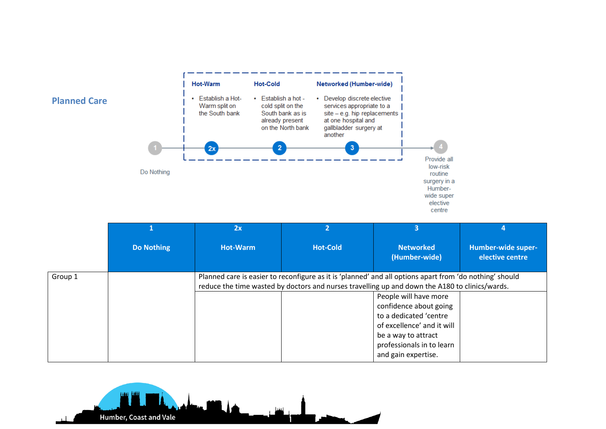

|         |                   | 2x              |                                                                                                                                                                                                           |                                                                                                                                                                                    |                                       |
|---------|-------------------|-----------------|-----------------------------------------------------------------------------------------------------------------------------------------------------------------------------------------------------------|------------------------------------------------------------------------------------------------------------------------------------------------------------------------------------|---------------------------------------|
|         | <b>Do Nothing</b> | <b>Hot-Warm</b> | <b>Hot-Cold</b>                                                                                                                                                                                           | <b>Networked</b><br>(Humber-wide)                                                                                                                                                  | Humber-wide super-<br>elective centre |
| Group 1 |                   |                 | Planned care is easier to reconfigure as it is 'planned' and all options apart from 'do nothing' should<br>reduce the time wasted by doctors and nurses travelling up and down the A180 to clinics/wards. |                                                                                                                                                                                    |                                       |
|         |                   |                 |                                                                                                                                                                                                           | People will have more<br>confidence about going<br>to a dedicated 'centre<br>of excellence' and it will<br>be a way to attract<br>professionals in to learn<br>and gain expertise. |                                       |

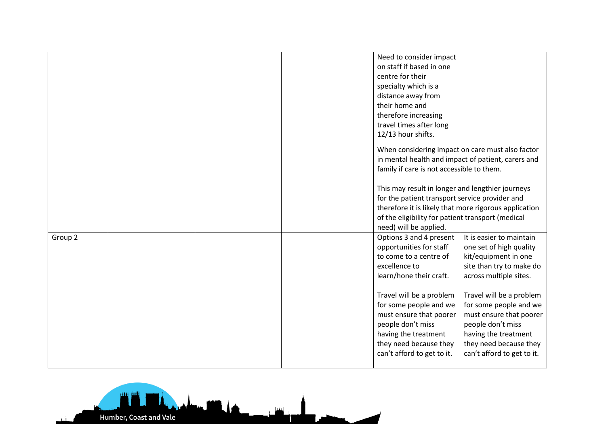|         |  | Need to consider impact                               |                            |
|---------|--|-------------------------------------------------------|----------------------------|
|         |  | on staff if based in one                              |                            |
|         |  | centre for their                                      |                            |
|         |  | specialty which is a                                  |                            |
|         |  | distance away from                                    |                            |
|         |  | their home and                                        |                            |
|         |  | therefore increasing                                  |                            |
|         |  | travel times after long                               |                            |
|         |  | 12/13 hour shifts.                                    |                            |
|         |  |                                                       |                            |
|         |  | When considering impact on care must also factor      |                            |
|         |  | in mental health and impact of patient, carers and    |                            |
|         |  | family if care is not accessible to them.             |                            |
|         |  |                                                       |                            |
|         |  | This may result in longer and lengthier journeys      |                            |
|         |  | for the patient transport service provider and        |                            |
|         |  | therefore it is likely that more rigorous application |                            |
|         |  | of the eligibility for patient transport (medical     |                            |
|         |  | need) will be applied.                                |                            |
| Group 2 |  | Options 3 and 4 present                               | It is easier to maintain   |
|         |  | opportunities for staff                               | one set of high quality    |
|         |  | to come to a centre of                                | kit/equipment in one       |
|         |  | excellence to                                         | site than try to make do   |
|         |  | learn/hone their craft.                               | across multiple sites.     |
|         |  |                                                       |                            |
|         |  | Travel will be a problem                              | Travel will be a problem   |
|         |  | for some people and we                                | for some people and we     |
|         |  | must ensure that poorer                               | must ensure that poorer    |
|         |  | people don't miss                                     | people don't miss          |
|         |  | having the treatment                                  | having the treatment       |
|         |  | they need because they                                | they need because they     |
|         |  | can't afford to get to it.                            | can't afford to get to it. |
|         |  |                                                       |                            |

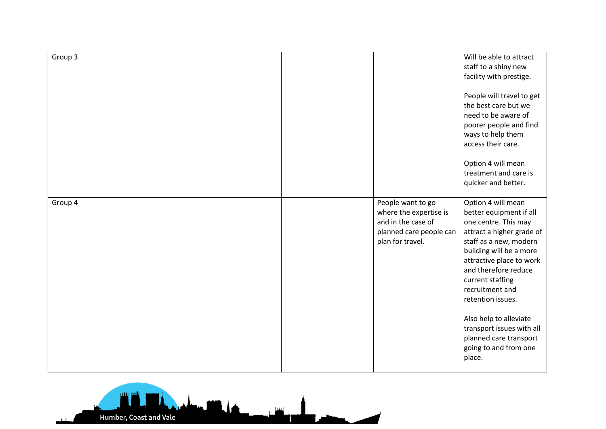| Group 3 |  |                                                                                                                  | Will be able to attract<br>staff to a shiny new<br>facility with prestige.<br>People will travel to get<br>the best care but we<br>need to be aware of<br>poorer people and find                                                                                        |
|---------|--|------------------------------------------------------------------------------------------------------------------|-------------------------------------------------------------------------------------------------------------------------------------------------------------------------------------------------------------------------------------------------------------------------|
|         |  |                                                                                                                  | ways to help them<br>access their care.                                                                                                                                                                                                                                 |
|         |  |                                                                                                                  | Option 4 will mean<br>treatment and care is<br>quicker and better.                                                                                                                                                                                                      |
| Group 4 |  | People want to go<br>where the expertise is<br>and in the case of<br>planned care people can<br>plan for travel. | Option 4 will mean<br>better equipment if all<br>one centre. This may<br>attract a higher grade of<br>staff as a new, modern<br>building will be a more<br>attractive place to work<br>and therefore reduce<br>current staffing<br>recruitment and<br>retention issues. |
|         |  |                                                                                                                  | Also help to alleviate<br>transport issues with all<br>planned care transport<br>going to and from one<br>place.                                                                                                                                                        |

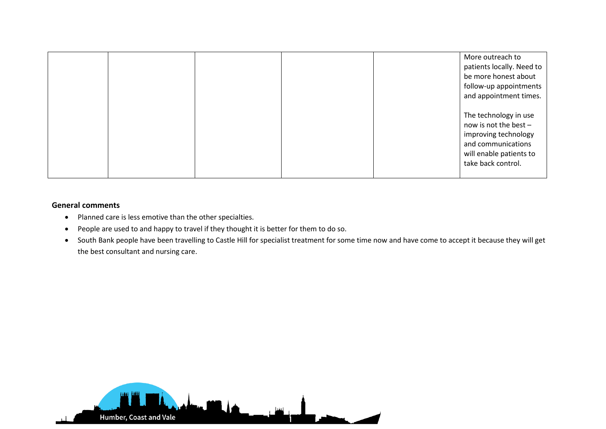|  |  | More outreach to<br>patients locally. Need to<br>be more honest about<br>follow-up appointments<br>and appointment times.                       |
|--|--|-------------------------------------------------------------------------------------------------------------------------------------------------|
|  |  | The technology in use<br>now is not the best $-$<br>improving technology<br>and communications<br>will enable patients to<br>take back control. |

#### **General comments**

- Planned care is less emotive than the other specialties.
- People are used to and happy to travel if they thought it is better for them to do so.
- South Bank people have been travelling to Castle Hill for specialist treatment for some time now and have come to accept it because they will get the best consultant and nursing care.

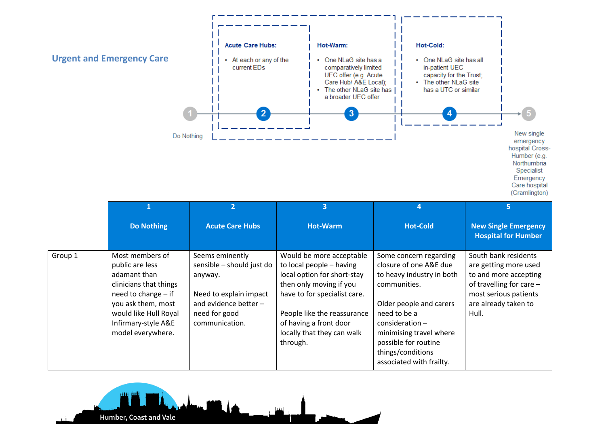

| Humber (e.g.  |
|---------------|
| Northumbria   |
| Specialist    |
| Emergency     |
| Care hospital |
| (Cramlington) |

|         |                                                                                                                                                                                                  | $\overline{2}$                                                                                                                                | 3                                                                                                                                                                                                                                                 |                                                                                                                                                                                                                                                                   | 5                                                                                                                                                            |
|---------|--------------------------------------------------------------------------------------------------------------------------------------------------------------------------------------------------|-----------------------------------------------------------------------------------------------------------------------------------------------|---------------------------------------------------------------------------------------------------------------------------------------------------------------------------------------------------------------------------------------------------|-------------------------------------------------------------------------------------------------------------------------------------------------------------------------------------------------------------------------------------------------------------------|--------------------------------------------------------------------------------------------------------------------------------------------------------------|
|         | <b>Do Nothing</b>                                                                                                                                                                                | <b>Acute Care Hubs</b>                                                                                                                        | <b>Hot-Warm</b>                                                                                                                                                                                                                                   | <b>Hot-Cold</b>                                                                                                                                                                                                                                                   | <b>New Single Emergency</b><br><b>Hospital for Humber</b>                                                                                                    |
| Group 1 | Most members of<br>public are less<br>adamant than<br>clinicians that things<br>need to change $-$ if<br>you ask them, most<br>would like Hull Royal<br>Infirmary-style A&E<br>model everywhere. | Seems eminently<br>sensible - should just do<br>anyway.<br>Need to explain impact<br>and evidence better -<br>need for good<br>communication. | Would be more acceptable<br>to local people - having<br>local option for short-stay<br>then only moving if you<br>have to for specialist care.<br>People like the reassurance<br>of having a front door<br>locally that they can walk<br>through. | Some concern regarding<br>closure of one A&E due<br>to heavy industry in both<br>communities.<br>Older people and carers<br>need to be a<br>$consideration -$<br>minimising travel where<br>possible for routine<br>things/conditions<br>associated with frailty. | South bank residents<br>are getting more used<br>to and more accepting<br>of travelling for care -<br>most serious patients<br>are already taken to<br>Hull. |

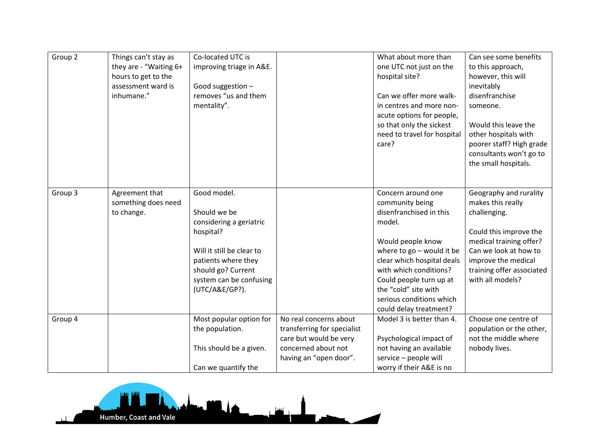| Group 2 | Things can't stay as<br>they are - "Waiting 6+<br>hours to get to the<br>assessment ward is<br>inhumane." | Co-located UTC is<br>improving triage in A&E.<br>Good suggestion -<br>removes "us and them<br>mentality".                                                                                  |                                                                                                                                  | What about more than<br>one UTC not just on the<br>hospital site?<br>Can we offer more walk-<br>in centres and more non-<br>acute options for people,<br>so that only the sickest<br>need to travel for hospital<br>care?                                           | Can see some benefits<br>to this approach,<br>however, this will<br>inevitably<br>disenfranchise<br>someone.<br>Would this leave the<br>other hospitals with<br>poorer staff? High grade<br>consultants won't go to<br>the small hospitals. |
|---------|-----------------------------------------------------------------------------------------------------------|--------------------------------------------------------------------------------------------------------------------------------------------------------------------------------------------|----------------------------------------------------------------------------------------------------------------------------------|---------------------------------------------------------------------------------------------------------------------------------------------------------------------------------------------------------------------------------------------------------------------|---------------------------------------------------------------------------------------------------------------------------------------------------------------------------------------------------------------------------------------------|
| Group 3 | Agreement that<br>something does need<br>to change.                                                       | Good model.<br>Should we be<br>considering a geriatric<br>hospital?<br>Will it still be clear to<br>patients where they<br>should go? Current<br>system can be confusing<br>(UTC/A&E/GP?). |                                                                                                                                  | Concern around one<br>community being<br>disenfranchised in this<br>model.<br>Would people know<br>where to go - would it be<br>clear which hospital deals<br>with which conditions?<br>Could people turn up at<br>the "cold" site with<br>serious conditions which | Geography and rurality<br>makes this really<br>challenging.<br>Could this improve the<br>medical training offer?<br>Can we look at how to<br>improve the medical<br>training offer associated<br>with all models?                           |
| Group 4 |                                                                                                           | Most popular option for<br>the population.<br>This should be a given.<br>Can we quantify the                                                                                               | No real concerns about<br>transferring for specialist<br>care but would be very<br>concerned about not<br>having an "open door". | could delay treatment?<br>Model 3 is better than 4.<br>Psychological impact of<br>not having an available<br>service - people will<br>worry if their A&E is no                                                                                                      | Choose one centre of<br>population or the other,<br>not the middle where<br>nobody lives.                                                                                                                                                   |

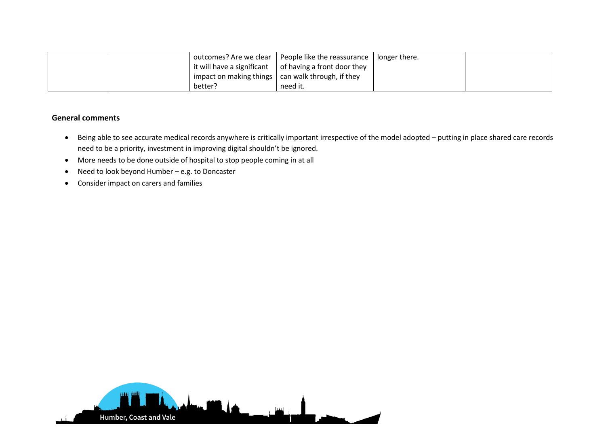|  | outcomes? Are we clear | People like the reassurance                                            | longer there. |  |
|--|------------------------|------------------------------------------------------------------------|---------------|--|
|  |                        | $\vert$ it will have a significant $\vert$ of having a front door they |               |  |
|  |                        | impact on making things $\vert$ can walk through, if they              |               |  |
|  | better?                | need it.                                                               |               |  |

#### **General comments**

- Being able to see accurate medical records anywhere is critically important irrespective of the model adopted putting in place shared care records need to be a priority, investment in improving digital shouldn't be ignored.
- More needs to be done outside of hospital to stop people coming in at all
- Need to look beyond Humber e.g. to Doncaster
- Consider impact on carers and families

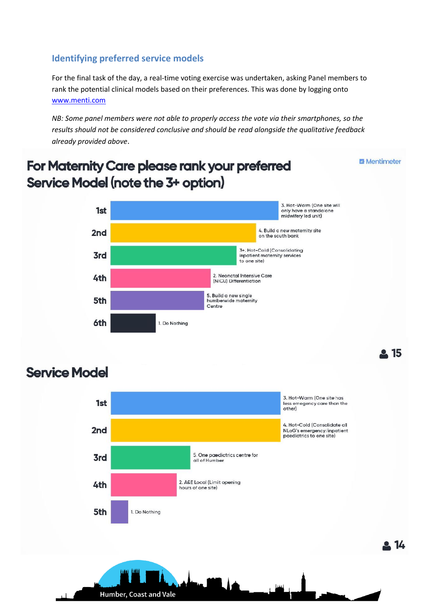## **Identifying preferred service models**

For the final task of the day, a real-time voting exercise was undertaken, asking Panel members to rank the potential clinical models based on their preferences. This was done by logging onto [www.menti.com](http://www.menti.com/) 

*NB: Some panel members were not able to properly access the vote via their smartphones, so the results should not be considered conclusive and should be read alongside the qualitative feedback already provided above*.